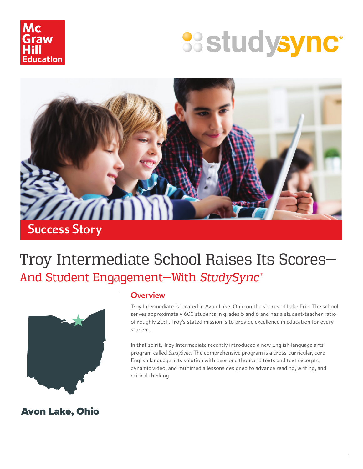

# **SSStudysync®**



## Troy Intermediate School Raises Its Scores— And Student Engagement—With *StudySync*®



Avon Lake, Ohio

#### **Overview**

Troy Intermediate is located in Avon Lake, Ohio on the shores of Lake Erie. The school serves approximately 600 students in grades 5 and 6 and has a student-teacher ratio of roughly 20:1. Troy's stated mission is to provide excellence in education for every student.

In that spirit, Troy Intermediate recently introduced a new English language arts program called *StudySync*. The comprehensive program is a cross-curricular, core English language arts solution with over one thousand texts and text excerpts, dynamic video, and multimedia lessons designed to advance reading, writing, and critical thinking.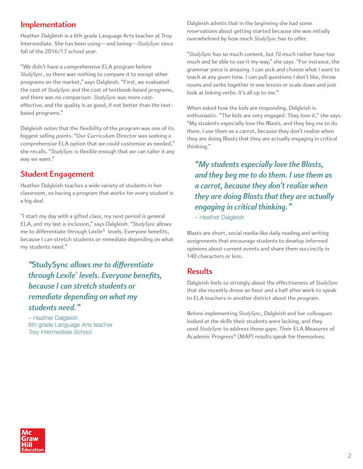#### **Implementation**

Heather Dalgleish is a 6th grade Language Arts teacher at Troy Intermediate. She has been using—and loving—*StudySync* since fall of the 2016/17 school year.

"We didn't have a comprehensive ELA program before *StudySync*, so there was nothing to compare it to except other programs on the market," says Dalgleish. "First, we evaluated the cost of *StudySync* and the cost of textbook-based programs, and there was no comparison. *StudySync* was more costeffective, and the quality is as good, if not better than the textbased programs."

Dalgleish notes that the flexibility of the program was one of its biggest selling points. "Our Curriculum Director was seeking a comprehensive ELA option that we could customize as needed," she recalls. "*StudySync* is flexible enough that we can tailor it any way we want."

#### **Student Engagement**

Heather Dalgleish teaches a wide variety of students in her classroom, so having a program that works for every student is a big deal.

"I start my day with a gifted class, my next period is general ELA, and my last is inclusion," says Dalgleish. "*StudySync* allows me to differentiate through Lexile® levels. Everyone benefits, because I can stretch students or remediate depending on what my students need."

*"***StudySync** *allows me to differentiate through Lexile® levels. Everyone benefits, because I can stretch students or remediate depending on what my students need."*

– Heather Dalgleish 6th grade Language Arts teacher Troy Intermediate School

Dalgleish admits that in the beginning she had some reservations about getting started because she was initially overwhelmed by how much *StudySync* has to offer.

"*StudySync* has so much content, but I'd much rather have too much and be able to use it my way," she says. "For instance, the grammar piece is amazing. I can pick and choose what I want to teach at any given time. I can pull questions I don't like, throw nouns and verbs together in one lesson or scale down and just look at linking verbs. It's all up to me."

When asked how the kids are responding, Dalgleish is enthusiastic. "The kids are very engaged. They love it," she says. "My students especially love the Blasts, and they beg me to do them. I use them as a carrot, because they don't realize when they are doing Blasts that they are actually engaging in critical thinking."

*"My students especially love the Blasts, and they beg me to do them. I use them as a carrot, because they don't realize when they are doing Blasts that they are actually engaging in critical thinking."*

– Heather Dalgleish

Blasts are short, social media-like daily reading and writing assignments that encourage students to develop informed opinions about current events and share them succinctly in 140 characters or less.

#### **Results**

Dalgleish feels so strongly about the effectiveness of *StudySync*  that she recently drove an hour and a half after work to speak to ELA teachers in another district about the program.

Before implementing *StudySync*, Dalgleish and her colleagues looked at the skills their students were lacking, and they used *StudySync* to address those gaps. Their ELA Measures of Academic Progress® (MAP) results speak for themselves.